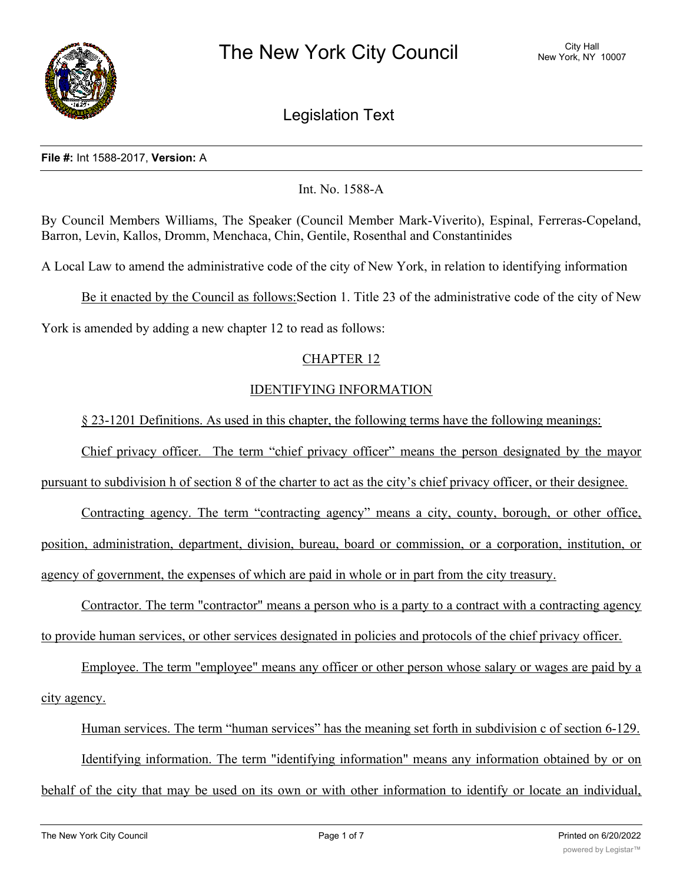

Legislation Text

# **File #:** Int 1588-2017, **Version:** A

Int. No. 1588-A

By Council Members Williams, The Speaker (Council Member Mark-Viverito), Espinal, Ferreras-Copeland, Barron, Levin, Kallos, Dromm, Menchaca, Chin, Gentile, Rosenthal and Constantinides

A Local Law to amend the administrative code of the city of New York, in relation to identifying information

Be it enacted by the Council as follows:Section 1. Title 23 of the administrative code of the city of New

York is amended by adding a new chapter 12 to read as follows:

# CHAPTER 12

# IDENTIFYING INFORMATION

§ 23-1201 Definitions. As used in this chapter, the following terms have the following meanings:

Chief privacy officer. The term "chief privacy officer" means the person designated by the mayor

pursuant to subdivision h of section 8 of the charter to act as the city's chief privacy officer, or their designee.

Contracting agency. The term "contracting agency" means a city, county, borough, or other office, position, administration, department, division, bureau, board or commission, or a corporation, institution, or agency of government, the expenses of which are paid in whole or in part from the city treasury.

Contractor. The term "contractor" means a person who is a party to a contract with a contracting agency to provide human services, or other services designated in policies and protocols of the chief privacy officer.

Employee. The term "employee" means any officer or other person whose salary or wages are paid by a city agency.

Human services. The term "human services" has the meaning set forth in subdivision c of section 6-129. Identifying information. The term "identifying information" means any information obtained by or on behalf of the city that may be used on its own or with other information to identify or locate an individual,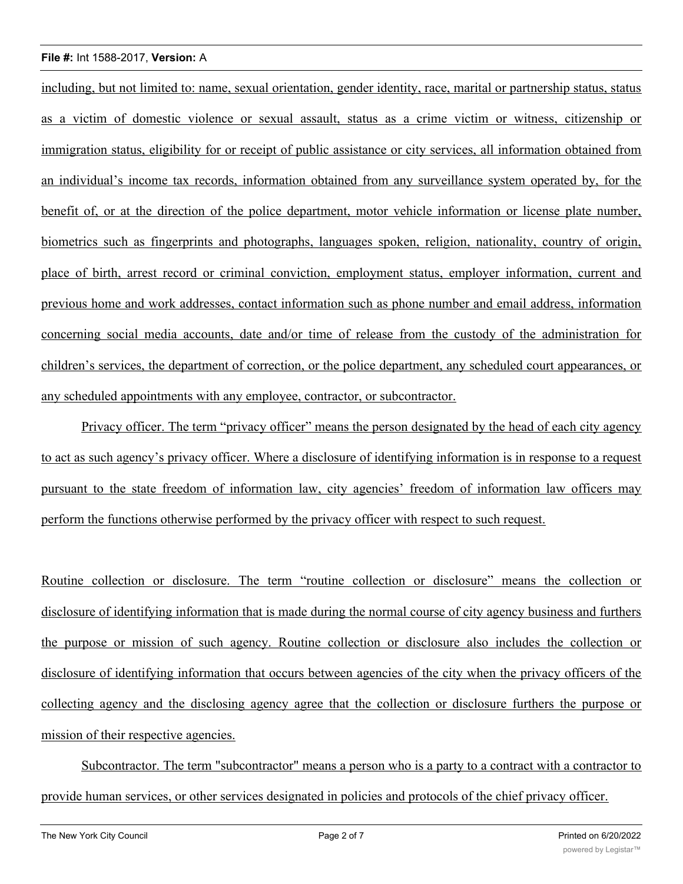including, but not limited to: name, sexual orientation, gender identity, race, marital or partnership status, status as a victim of domestic violence or sexual assault, status as a crime victim or witness, citizenship or immigration status, eligibility for or receipt of public assistance or city services, all information obtained from an individual's income tax records, information obtained from any surveillance system operated by, for the benefit of, or at the direction of the police department, motor vehicle information or license plate number, biometrics such as fingerprints and photographs, languages spoken, religion, nationality, country of origin, place of birth, arrest record or criminal conviction, employment status, employer information, current and previous home and work addresses, contact information such as phone number and email address, information concerning social media accounts, date and/or time of release from the custody of the administration for children's services, the department of correction, or the police department, any scheduled court appearances, or any scheduled appointments with any employee, contractor, or subcontractor.

Privacy officer. The term "privacy officer" means the person designated by the head of each city agency to act as such agency's privacy officer. Where a disclosure of identifying information is in response to a request pursuant to the state freedom of information law, city agencies' freedom of information law officers may perform the functions otherwise performed by the privacy officer with respect to such request.

Routine collection or disclosure. The term "routine collection or disclosure" means the collection or disclosure of identifying information that is made during the normal course of city agency business and furthers the purpose or mission of such agency. Routine collection or disclosure also includes the collection or disclosure of identifying information that occurs between agencies of the city when the privacy officers of the collecting agency and the disclosing agency agree that the collection or disclosure furthers the purpose or mission of their respective agencies.

Subcontractor. The term "subcontractor" means a person who is a party to a contract with a contractor to provide human services, or other services designated in policies and protocols of the chief privacy officer.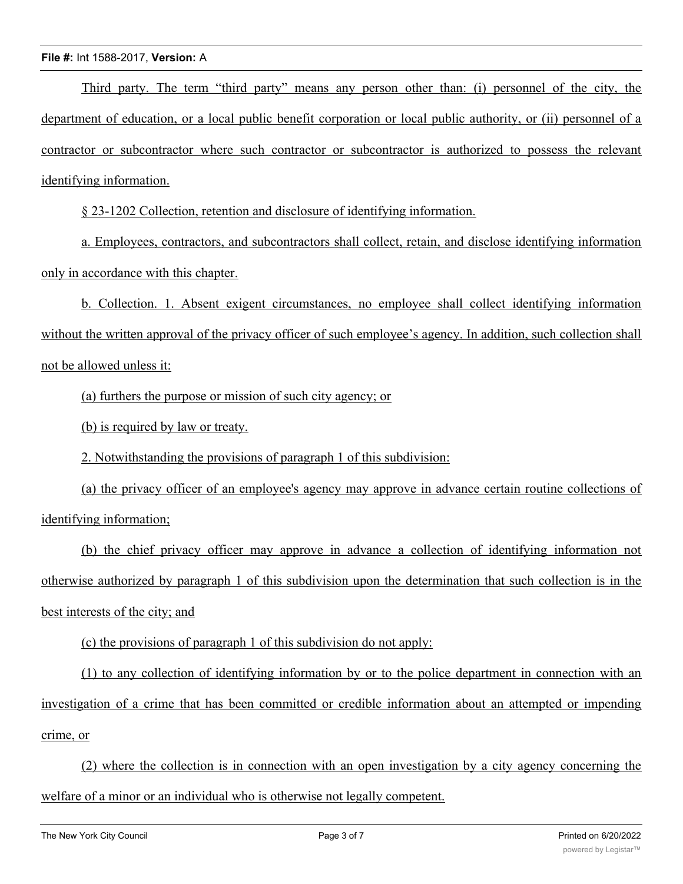Third party. The term "third party" means any person other than: (i) personnel of the city, the department of education, or a local public benefit corporation or local public authority, or (ii) personnel of a contractor or subcontractor where such contractor or subcontractor is authorized to possess the relevant identifying information.

§ 23-1202 Collection, retention and disclosure of identifying information.

a. Employees, contractors, and subcontractors shall collect, retain, and disclose identifying information only in accordance with this chapter.

b. Collection. 1. Absent exigent circumstances, no employee shall collect identifying information without the written approval of the privacy officer of such employee's agency. In addition, such collection shall not be allowed unless it:

(a) furthers the purpose or mission of such city agency; or

(b) is required by law or treaty.

2. Notwithstanding the provisions of paragraph 1 of this subdivision:

(a) the privacy officer of an employee's agency may approve in advance certain routine collections of identifying information;

(b) the chief privacy officer may approve in advance a collection of identifying information not otherwise authorized by paragraph 1 of this subdivision upon the determination that such collection is in the best interests of the city; and

(c) the provisions of paragraph 1 of this subdivision do not apply:

(1) to any collection of identifying information by or to the police department in connection with an investigation of a crime that has been committed or credible information about an attempted or impending crime, or

(2) where the collection is in connection with an open investigation by a city agency concerning the welfare of a minor or an individual who is otherwise not legally competent.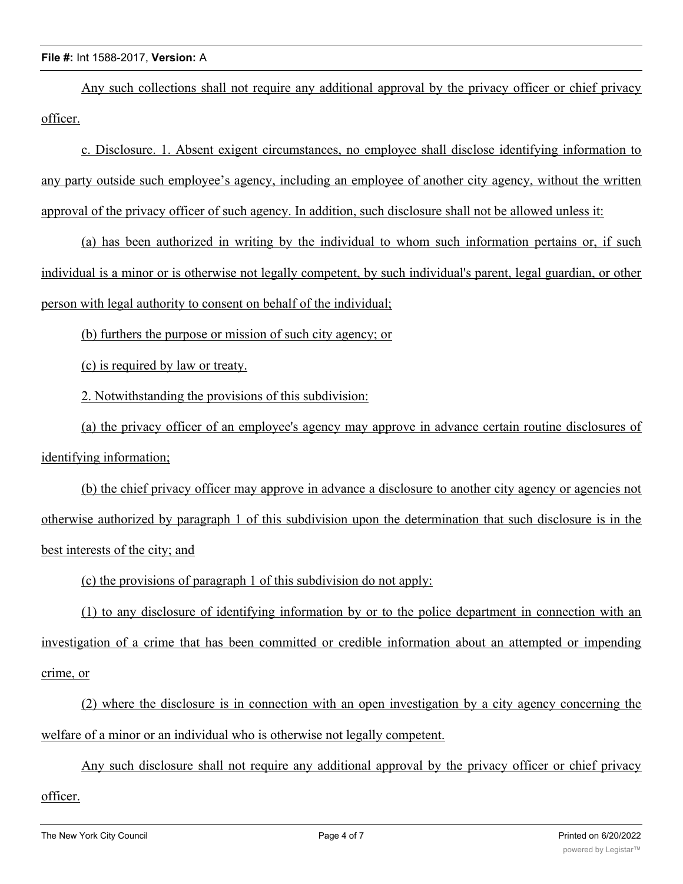Any such collections shall not require any additional approval by the privacy officer or chief privacy officer.

c. Disclosure. 1. Absent exigent circumstances, no employee shall disclose identifying information to any party outside such employee's agency, including an employee of another city agency, without the written approval of the privacy officer of such agency. In addition, such disclosure shall not be allowed unless it:

(a) has been authorized in writing by the individual to whom such information pertains or, if such individual is a minor or is otherwise not legally competent, by such individual's parent, legal guardian, or other person with legal authority to consent on behalf of the individual;

(b) furthers the purpose or mission of such city agency; or

(c) is required by law or treaty.

2. Notwithstanding the provisions of this subdivision:

(a) the privacy officer of an employee's agency may approve in advance certain routine disclosures of identifying information;

(b) the chief privacy officer may approve in advance a disclosure to another city agency or agencies not otherwise authorized by paragraph 1 of this subdivision upon the determination that such disclosure is in the best interests of the city; and

(c) the provisions of paragraph 1 of this subdivision do not apply:

(1) to any disclosure of identifying information by or to the police department in connection with an investigation of a crime that has been committed or credible information about an attempted or impending crime, or

(2) where the disclosure is in connection with an open investigation by a city agency concerning the welfare of a minor or an individual who is otherwise not legally competent.

Any such disclosure shall not require any additional approval by the privacy officer or chief privacy officer.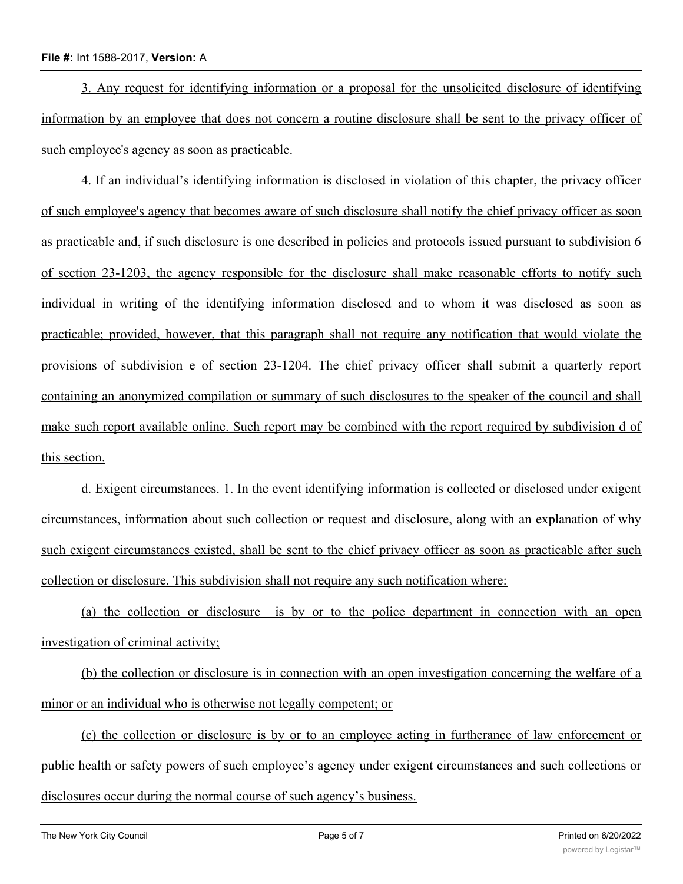3. Any request for identifying information or a proposal for the unsolicited disclosure of identifying information by an employee that does not concern a routine disclosure shall be sent to the privacy officer of such employee's agency as soon as practicable.

4. If an individual's identifying information is disclosed in violation of this chapter, the privacy officer of such employee's agency that becomes aware of such disclosure shall notify the chief privacy officer as soon as practicable and, if such disclosure is one described in policies and protocols issued pursuant to subdivision 6 of section 23-1203, the agency responsible for the disclosure shall make reasonable efforts to notify such individual in writing of the identifying information disclosed and to whom it was disclosed as soon as practicable; provided, however, that this paragraph shall not require any notification that would violate the provisions of subdivision e of section 23-1204. The chief privacy officer shall submit a quarterly report containing an anonymized compilation or summary of such disclosures to the speaker of the council and shall make such report available online. Such report may be combined with the report required by subdivision d of this section.

d. Exigent circumstances. 1. In the event identifying information is collected or disclosed under exigent circumstances, information about such collection or request and disclosure, along with an explanation of why such exigent circumstances existed, shall be sent to the chief privacy officer as soon as practicable after such collection or disclosure. This subdivision shall not require any such notification where:

(a) the collection or disclosure is by or to the police department in connection with an open investigation of criminal activity;

(b) the collection or disclosure is in connection with an open investigation concerning the welfare of a minor or an individual who is otherwise not legally competent; or

(c) the collection or disclosure is by or to an employee acting in furtherance of law enforcement or public health or safety powers of such employee's agency under exigent circumstances and such collections or disclosures occur during the normal course of such agency's business.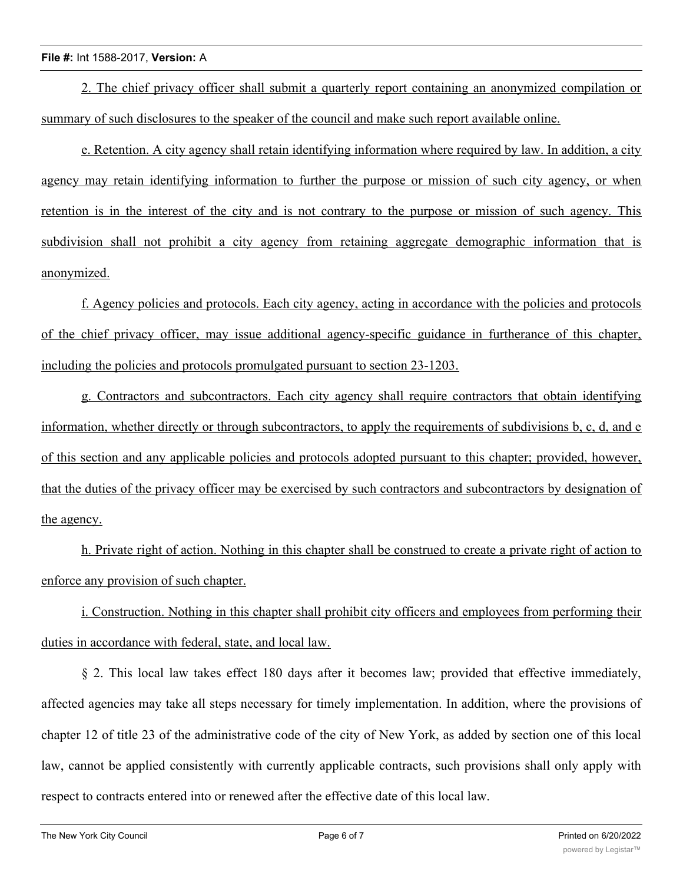2. The chief privacy officer shall submit a quarterly report containing an anonymized compilation or summary of such disclosures to the speaker of the council and make such report available online.

e. Retention. A city agency shall retain identifying information where required by law. In addition, a city agency may retain identifying information to further the purpose or mission of such city agency, or when retention is in the interest of the city and is not contrary to the purpose or mission of such agency. This subdivision shall not prohibit a city agency from retaining aggregate demographic information that is anonymized.

f. Agency policies and protocols. Each city agency, acting in accordance with the policies and protocols of the chief privacy officer, may issue additional agency-specific guidance in furtherance of this chapter, including the policies and protocols promulgated pursuant to section 23-1203.

g. Contractors and subcontractors. Each city agency shall require contractors that obtain identifying information, whether directly or through subcontractors, to apply the requirements of subdivisions b, c, d, and e of this section and any applicable policies and protocols adopted pursuant to this chapter; provided, however, that the duties of the privacy officer may be exercised by such contractors and subcontractors by designation of the agency.

h. Private right of action. Nothing in this chapter shall be construed to create a private right of action to enforce any provision of such chapter.

i. Construction. Nothing in this chapter shall prohibit city officers and employees from performing their duties in accordance with federal, state, and local law.

§ 2. This local law takes effect 180 days after it becomes law; provided that effective immediately, affected agencies may take all steps necessary for timely implementation. In addition, where the provisions of chapter 12 of title 23 of the administrative code of the city of New York, as added by section one of this local law, cannot be applied consistently with currently applicable contracts, such provisions shall only apply with respect to contracts entered into or renewed after the effective date of this local law.